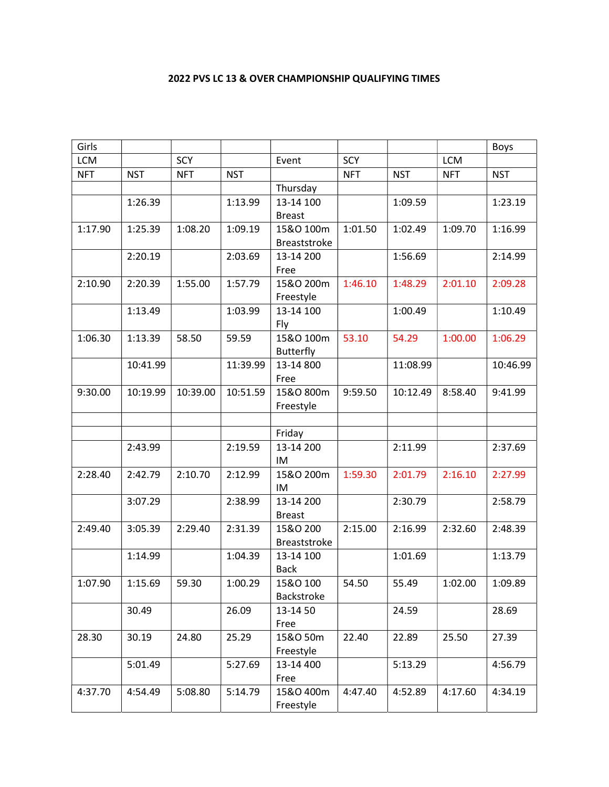## 2022 PVS LC 13 & OVER CHAMPIONSHIP QUALIFYING TIMES

| Girls      |            |            |            |                     |            |            |            | <b>Boys</b> |
|------------|------------|------------|------------|---------------------|------------|------------|------------|-------------|
| LCM        |            | SCY        |            | Event               | SCY        |            | <b>LCM</b> |             |
| <b>NFT</b> | <b>NST</b> | <b>NFT</b> | <b>NST</b> |                     | <b>NFT</b> | <b>NST</b> | <b>NFT</b> | <b>NST</b>  |
|            |            |            |            | Thursday            |            |            |            |             |
|            | 1:26.39    |            | 1:13.99    | 13-14 100           |            | 1:09.59    |            | 1:23.19     |
|            |            |            |            | <b>Breast</b>       |            |            |            |             |
| 1:17.90    | 1:25.39    | 1:08.20    | 1:09.19    | 15&O 100m           | 1:01.50    | 1:02.49    | 1:09.70    | 1:16.99     |
|            |            |            |            | <b>Breaststroke</b> |            |            |            |             |
|            | 2:20.19    |            | 2:03.69    | 13-14 200           |            | 1:56.69    |            | 2:14.99     |
|            |            |            |            | Free                |            |            |            |             |
| 2:10.90    | 2:20.39    | 1:55.00    | 1:57.79    | 15&O 200m           | 1:46.10    | 1:48.29    | 2:01.10    | 2:09.28     |
|            |            |            |            | Freestyle           |            |            |            |             |
|            | 1:13.49    |            | 1:03.99    | 13-14 100           |            | 1:00.49    |            | 1:10.49     |
|            |            |            |            | Fly                 |            |            |            |             |
| 1:06.30    | 1:13.39    | 58.50      | 59.59      | 15&O 100m           | 53.10      | 54.29      | 1:00.00    | 1:06.29     |
|            |            |            |            | <b>Butterfly</b>    |            |            |            |             |
|            | 10:41.99   |            | 11:39.99   | 13-14 800           |            | 11:08.99   |            | 10:46.99    |
|            |            |            |            | Free                |            |            |            |             |
| 9:30.00    | 10:19.99   | 10:39.00   | 10:51.59   | 15&O 800m           | 9:59.50    | 10:12.49   | 8:58.40    | 9:41.99     |
|            |            |            |            | Freestyle           |            |            |            |             |
|            |            |            |            |                     |            |            |            |             |
|            |            |            |            | Friday              |            |            |            |             |
|            | 2:43.99    |            | 2:19.59    | 13-14 200           |            | 2:11.99    |            | 2:37.69     |
|            |            |            |            | IM                  |            |            |            |             |
| 2:28.40    | 2:42.79    | 2:10.70    | 2:12.99    | 15&O 200m           | 1:59.30    | 2:01.79    | 2:16.10    | 2:27.99     |
|            |            |            |            | IM                  |            |            |            |             |
|            | 3:07.29    |            | 2:38.99    | 13-14 200           |            | 2:30.79    |            | 2:58.79     |
|            |            |            |            | <b>Breast</b>       |            |            |            |             |
| 2:49.40    | 3:05.39    | 2:29.40    | 2:31.39    | 15&O 200            | 2:15.00    | 2:16.99    | 2:32.60    | 2:48.39     |
|            |            |            |            | Breaststroke        |            |            |            |             |
|            | 1:14.99    |            | 1:04.39    | 13-14 100           |            | 1:01.69    |            | 1:13.79     |
|            |            |            |            | <b>Back</b>         |            |            |            |             |
| 1:07.90    | 1:15.69    | 59.30      | 1:00.29    | 15&0 100            | 54.50      | 55.49      | 1:02.00    | 1:09.89     |
|            |            |            |            | Backstroke          |            |            |            |             |
|            | 30.49      |            | 26.09      | 13-14 50            |            | 24.59      |            | 28.69       |
|            |            |            |            | Free                |            |            |            |             |
| 28.30      | 30.19      | 24.80      | 25.29      | 15&O 50m            | 22.40      | 22.89      | 25.50      | 27.39       |
|            |            |            |            | Freestyle           |            |            |            |             |
|            | 5:01.49    |            | 5:27.69    | 13-14 400           |            | 5:13.29    |            | 4:56.79     |
|            |            |            |            | Free                |            |            |            |             |
| 4:37.70    | 4:54.49    | 5:08.80    | 5:14.79    | 15&O 400m           | 4:47.40    | 4:52.89    | 4:17.60    | 4:34.19     |
|            |            |            |            | Freestyle           |            |            |            |             |